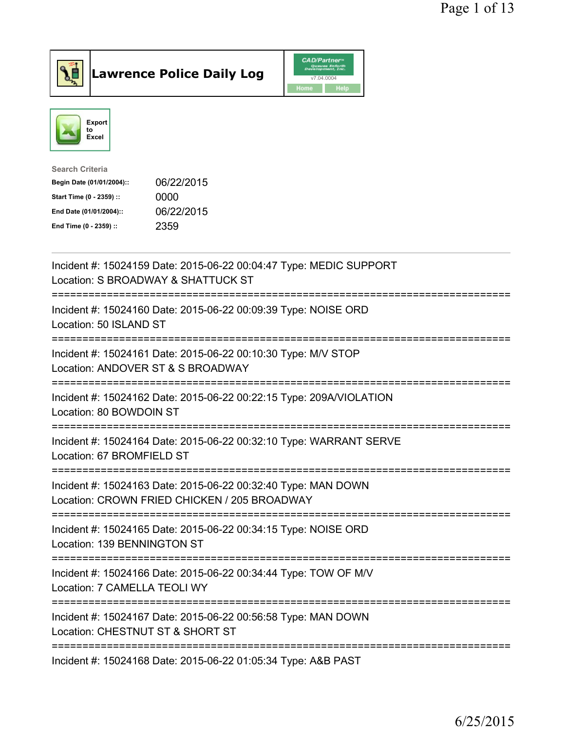

**Lawrence Police Daily Log** 



| <b>Search Criteria</b>    |            |
|---------------------------|------------|
| Begin Date (01/01/2004):: | 06/22/2015 |
| Start Time (0 - 2359) ::  | 0000       |
| End Date (01/01/2004)::   | 06/22/2015 |
| End Time (0 - 2359) ::    | 2359       |
|                           |            |

| Incident #: 15024159 Date: 2015-06-22 00:04:47 Type: MEDIC SUPPORT<br>Location: S BROADWAY & SHATTUCK ST                           |
|------------------------------------------------------------------------------------------------------------------------------------|
| Incident #: 15024160 Date: 2015-06-22 00:09:39 Type: NOISE ORD<br>Location: 50 ISLAND ST<br>===============                        |
| Incident #: 15024161 Date: 2015-06-22 00:10:30 Type: M/V STOP<br>Location: ANDOVER ST & S BROADWAY<br>;========================    |
| Incident #: 15024162 Date: 2015-06-22 00:22:15 Type: 209A/VIOLATION<br>Location: 80 BOWDOIN ST<br>------------------               |
| Incident #: 15024164 Date: 2015-06-22 00:32:10 Type: WARRANT SERVE<br>Location: 67 BROMFIELD ST                                    |
| Incident #: 15024163 Date: 2015-06-22 00:32:40 Type: MAN DOWN<br>Location: CROWN FRIED CHICKEN / 205 BROADWAY<br>:================ |
| Incident #: 15024165 Date: 2015-06-22 00:34:15 Type: NOISE ORD<br>Location: 139 BENNINGTON ST                                      |
| Incident #: 15024166 Date: 2015-06-22 00:34:44 Type: TOW OF M/V<br>Location: 7 CAMELLA TEOLI WY                                    |
| Incident #: 15024167 Date: 2015-06-22 00:56:58 Type: MAN DOWN<br>Location: CHESTNUT ST & SHORT ST                                  |
| Incident #: 15024168 Date: 2015-06-22 01:05:34 Type: A&B PAST                                                                      |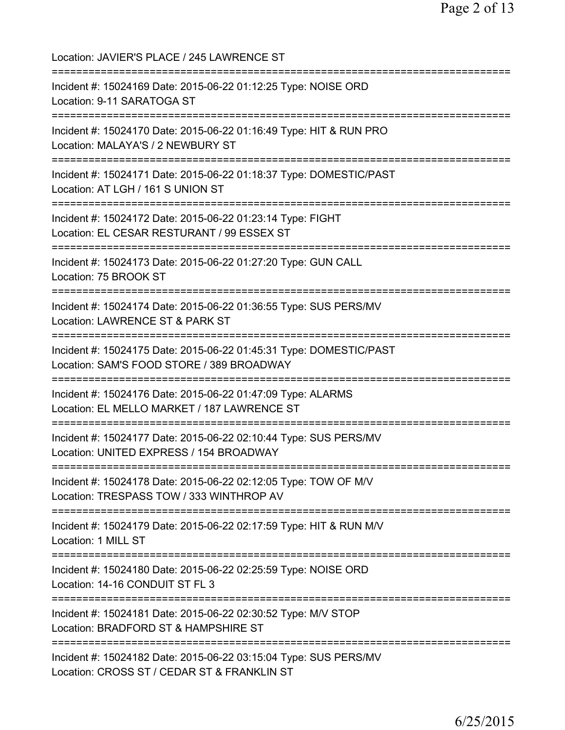Location: JAVIER'S PLACE / 245 LAWRENCE ST =========================================================================== Incident #: 15024169 Date: 2015-06-22 01:12:25 Type: NOISE ORD Location: 9-11 SARATOGA ST =========================================================================== Incident #: 15024170 Date: 2015-06-22 01:16:49 Type: HIT & RUN PRO Location: MALAYA'S / 2 NEWBURY ST =========================================================================== Incident #: 15024171 Date: 2015-06-22 01:18:37 Type: DOMESTIC/PAST Location: AT LGH / 161 S UNION ST =========================================================================== Incident #: 15024172 Date: 2015-06-22 01:23:14 Type: FIGHT Location: EL CESAR RESTURANT / 99 ESSEX ST =========================================================================== Incident #: 15024173 Date: 2015-06-22 01:27:20 Type: GUN CALL Location: 75 BROOK ST =========================================================================== Incident #: 15024174 Date: 2015-06-22 01:36:55 Type: SUS PERS/MV Location: LAWRENCE ST & PARK ST =========================================================================== Incident #: 15024175 Date: 2015-06-22 01:45:31 Type: DOMESTIC/PAST Location: SAM'S FOOD STORE / 389 BROADWAY =========================================================================== Incident #: 15024176 Date: 2015-06-22 01:47:09 Type: ALARMS Location: EL MELLO MARKET / 187 LAWRENCE ST =========================================================================== Incident #: 15024177 Date: 2015-06-22 02:10:44 Type: SUS PERS/MV Location: UNITED EXPRESS / 154 BROADWAY =========================================================================== Incident #: 15024178 Date: 2015-06-22 02:12:05 Type: TOW OF M/V Location: TRESPASS TOW / 333 WINTHROP AV =========================================================================== Incident #: 15024179 Date: 2015-06-22 02:17:59 Type: HIT & RUN M/V Location: 1 MILL ST =========================================================================== Incident #: 15024180 Date: 2015-06-22 02:25:59 Type: NOISE ORD Location: 14-16 CONDUIT ST FL 3 =========================================================================== Incident #: 15024181 Date: 2015-06-22 02:30:52 Type: M/V STOP Location: BRADFORD ST & HAMPSHIRE ST =========================================================================== Incident #: 15024182 Date: 2015-06-22 03:15:04 Type: SUS PERS/MV Location: CROSS ST / CEDAR ST & FRANKLIN ST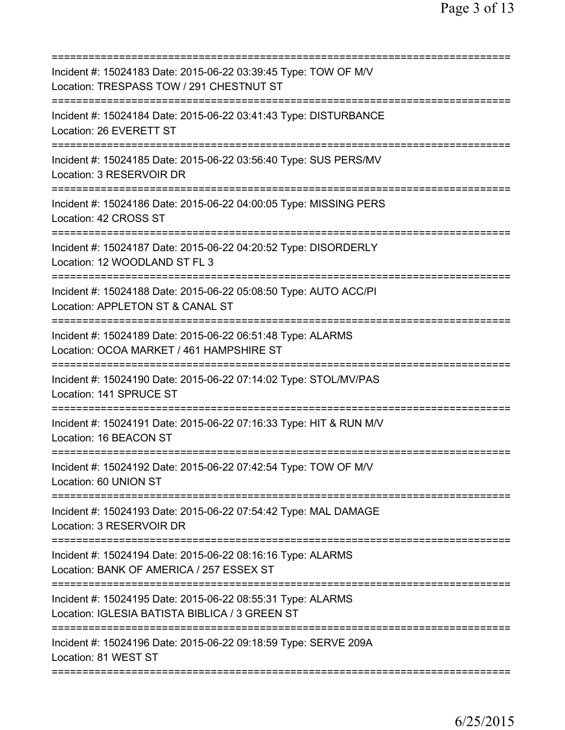| Incident #: 15024183 Date: 2015-06-22 03:39:45 Type: TOW OF M/V<br>Location: TRESPASS TOW / 291 CHESTNUT ST                                                     |
|-----------------------------------------------------------------------------------------------------------------------------------------------------------------|
| Incident #: 15024184 Date: 2015-06-22 03:41:43 Type: DISTURBANCE<br>Location: 26 EVERETT ST                                                                     |
| Incident #: 15024185 Date: 2015-06-22 03:56:40 Type: SUS PERS/MV<br>Location: 3 RESERVOIR DR                                                                    |
| Incident #: 15024186 Date: 2015-06-22 04:00:05 Type: MISSING PERS<br>Location: 42 CROSS ST                                                                      |
| Incident #: 15024187 Date: 2015-06-22 04:20:52 Type: DISORDERLY<br>Location: 12 WOODLAND ST FL 3                                                                |
| ========================<br>Incident #: 15024188 Date: 2015-06-22 05:08:50 Type: AUTO ACC/PI<br>Location: APPLETON ST & CANAL ST<br>=========================== |
| Incident #: 15024189 Date: 2015-06-22 06:51:48 Type: ALARMS<br>Location: OCOA MARKET / 461 HAMPSHIRE ST                                                         |
| Incident #: 15024190 Date: 2015-06-22 07:14:02 Type: STOL/MV/PAS<br>Location: 141 SPRUCE ST                                                                     |
| Incident #: 15024191 Date: 2015-06-22 07:16:33 Type: HIT & RUN M/V<br>Location: 16 BEACON ST                                                                    |
| Incident #: 15024192 Date: 2015-06-22 07:42:54 Type: TOW OF M/V<br>Location: 60 UNION ST                                                                        |
| Incident #: 15024193 Date: 2015-06-22 07:54:42 Type: MAL DAMAGE<br>Location: 3 RESERVOIR DR                                                                     |
| Incident #: 15024194 Date: 2015-06-22 08:16:16 Type: ALARMS<br>Location: BANK OF AMERICA / 257 ESSEX ST                                                         |
| Incident #: 15024195 Date: 2015-06-22 08:55:31 Type: ALARMS<br>Location: IGLESIA BATISTA BIBLICA / 3 GREEN ST                                                   |
| ====================================<br>Incident #: 15024196 Date: 2015-06-22 09:18:59 Type: SERVE 209A<br>Location: 81 WEST ST                                 |
|                                                                                                                                                                 |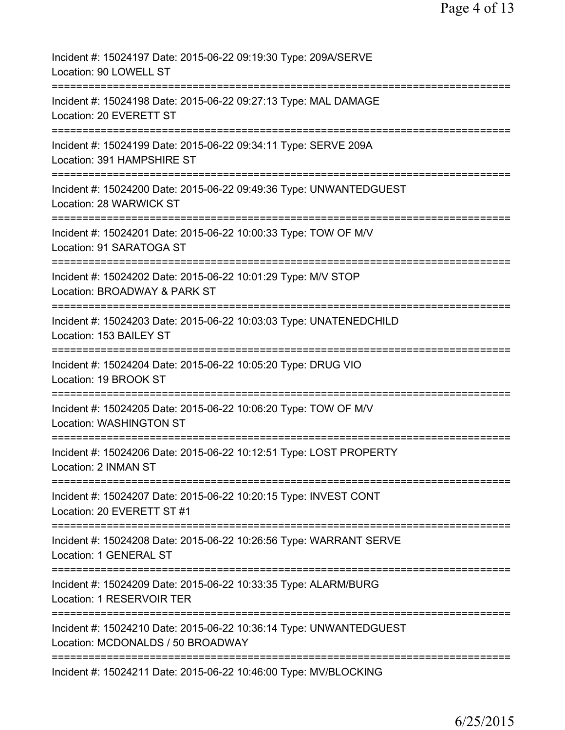| Incident #: 15024197 Date: 2015-06-22 09:19:30 Type: 209A/SERVE<br>Location: 90 LOWELL ST               |
|---------------------------------------------------------------------------------------------------------|
| Incident #: 15024198 Date: 2015-06-22 09:27:13 Type: MAL DAMAGE<br>Location: 20 EVERETT ST              |
| Incident #: 15024199 Date: 2015-06-22 09:34:11 Type: SERVE 209A<br>Location: 391 HAMPSHIRE ST           |
| Incident #: 15024200 Date: 2015-06-22 09:49:36 Type: UNWANTEDGUEST<br>Location: 28 WARWICK ST           |
| Incident #: 15024201 Date: 2015-06-22 10:00:33 Type: TOW OF M/V<br>Location: 91 SARATOGA ST             |
| Incident #: 15024202 Date: 2015-06-22 10:01:29 Type: M/V STOP<br>Location: BROADWAY & PARK ST           |
| Incident #: 15024203 Date: 2015-06-22 10:03:03 Type: UNATENEDCHILD<br>Location: 153 BAILEY ST           |
| Incident #: 15024204 Date: 2015-06-22 10:05:20 Type: DRUG VIO<br>Location: 19 BROOK ST                  |
| Incident #: 15024205 Date: 2015-06-22 10:06:20 Type: TOW OF M/V<br>Location: WASHINGTON ST              |
| Incident #: 15024206 Date: 2015-06-22 10:12:51 Type: LOST PROPERTY<br>Location: 2 INMAN ST              |
| Incident #: 15024207 Date: 2015-06-22 10:20:15 Type: INVEST CONT<br>Location: 20 EVERETT ST #1          |
| Incident #: 15024208 Date: 2015-06-22 10:26:56 Type: WARRANT SERVE<br><b>Location: 1 GENERAL ST</b>     |
| Incident #: 15024209 Date: 2015-06-22 10:33:35 Type: ALARM/BURG<br>Location: 1 RESERVOIR TER            |
| Incident #: 15024210 Date: 2015-06-22 10:36:14 Type: UNWANTEDGUEST<br>Location: MCDONALDS / 50 BROADWAY |
| ===============================<br>Incident #: 15024211 Date: 2015-06-22 10:46:00 Type: MV/BLOCKING     |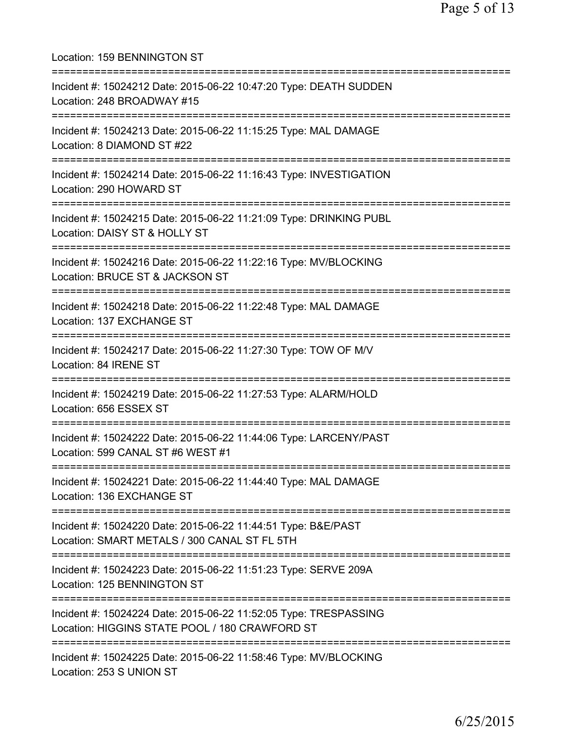Location: 159 BENNINGTON ST =========================================================================== Incident #: 15024212 Date: 2015-06-22 10:47:20 Type: DEATH SUDDEN Location: 248 BROADWAY #15 =========================================================================== Incident #: 15024213 Date: 2015-06-22 11:15:25 Type: MAL DAMAGE Location: 8 DIAMOND ST #22 =========================================================================== Incident #: 15024214 Date: 2015-06-22 11:16:43 Type: INVESTIGATION Location: 290 HOWARD ST =========================================================================== Incident #: 15024215 Date: 2015-06-22 11:21:09 Type: DRINKING PUBL Location: DAISY ST & HOLLY ST =========================================================================== Incident #: 15024216 Date: 2015-06-22 11:22:16 Type: MV/BLOCKING Location: BRUCE ST & JACKSON ST =========================================================================== Incident #: 15024218 Date: 2015-06-22 11:22:48 Type: MAL DAMAGE Location: 137 EXCHANGE ST =========================================================================== Incident #: 15024217 Date: 2015-06-22 11:27:30 Type: TOW OF M/V Location: 84 IRENE ST =========================================================================== Incident #: 15024219 Date: 2015-06-22 11:27:53 Type: ALARM/HOLD Location: 656 ESSEX ST =========================================================================== Incident #: 15024222 Date: 2015-06-22 11:44:06 Type: LARCENY/PAST Location: 599 CANAL ST #6 WEST #1 =========================================================================== Incident #: 15024221 Date: 2015-06-22 11:44:40 Type: MAL DAMAGE Location: 136 EXCHANGE ST =========================================================================== Incident #: 15024220 Date: 2015-06-22 11:44:51 Type: B&E/PAST Location: SMART METALS / 300 CANAL ST FL 5TH =========================================================================== Incident #: 15024223 Date: 2015-06-22 11:51:23 Type: SERVE 209A Location: 125 BENNINGTON ST =========================================================================== Incident #: 15024224 Date: 2015-06-22 11:52:05 Type: TRESPASSING Location: HIGGINS STATE POOL / 180 CRAWFORD ST =========================================================================== Incident #: 15024225 Date: 2015-06-22 11:58:46 Type: MV/BLOCKING Location: 253 S UNION ST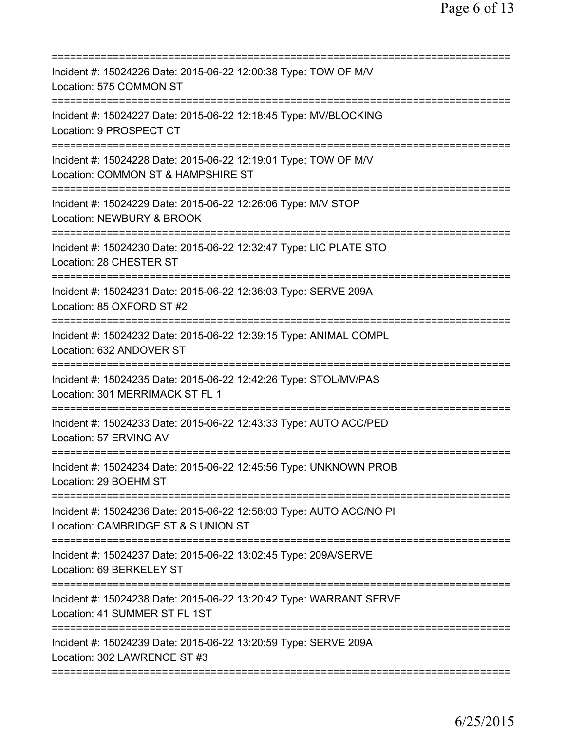| Incident #: 15024226 Date: 2015-06-22 12:00:38 Type: TOW OF M/V<br>Location: 575 COMMON ST                        |
|-------------------------------------------------------------------------------------------------------------------|
| Incident #: 15024227 Date: 2015-06-22 12:18:45 Type: MV/BLOCKING<br>Location: 9 PROSPECT CT                       |
| Incident #: 15024228 Date: 2015-06-22 12:19:01 Type: TOW OF M/V<br>Location: COMMON ST & HAMPSHIRE ST             |
| ===================<br>Incident #: 15024229 Date: 2015-06-22 12:26:06 Type: M/V STOP<br>Location: NEWBURY & BROOK |
| Incident #: 15024230 Date: 2015-06-22 12:32:47 Type: LIC PLATE STO<br>Location: 28 CHESTER ST                     |
| Incident #: 15024231 Date: 2015-06-22 12:36:03 Type: SERVE 209A<br>Location: 85 OXFORD ST #2                      |
| Incident #: 15024232 Date: 2015-06-22 12:39:15 Type: ANIMAL COMPL<br>Location: 632 ANDOVER ST                     |
| Incident #: 15024235 Date: 2015-06-22 12:42:26 Type: STOL/MV/PAS<br>Location: 301 MERRIMACK ST FL 1               |
| Incident #: 15024233 Date: 2015-06-22 12:43:33 Type: AUTO ACC/PED<br>Location: 57 ERVING AV                       |
| Incident #: 15024234 Date: 2015-06-22 12:45:56 Type: UNKNOWN PROB<br>Location: 29 BOEHM ST                        |
| Incident #: 15024236 Date: 2015-06-22 12:58:03 Type: AUTO ACC/NO PI<br>Location: CAMBRIDGE ST & S UNION ST        |
| Incident #: 15024237 Date: 2015-06-22 13:02:45 Type: 209A/SERVE<br>Location: 69 BERKELEY ST                       |
| Incident #: 15024238 Date: 2015-06-22 13:20:42 Type: WARRANT SERVE<br>Location: 41 SUMMER ST FL 1ST               |
| Incident #: 15024239 Date: 2015-06-22 13:20:59 Type: SERVE 209A<br>Location: 302 LAWRENCE ST #3                   |
|                                                                                                                   |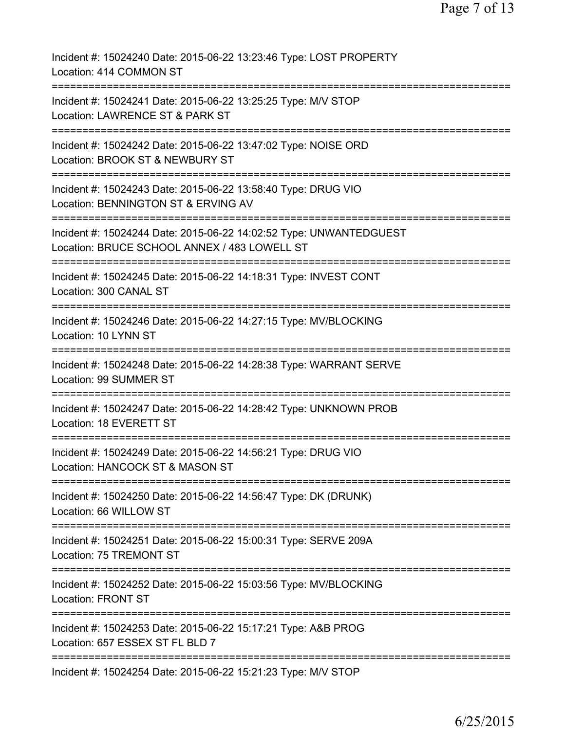| Incident #: 15024240 Date: 2015-06-22 13:23:46 Type: LOST PROPERTY<br>Location: 414 COMMON ST                      |
|--------------------------------------------------------------------------------------------------------------------|
| Incident #: 15024241 Date: 2015-06-22 13:25:25 Type: M/V STOP<br>Location: LAWRENCE ST & PARK ST                   |
| Incident #: 15024242 Date: 2015-06-22 13:47:02 Type: NOISE ORD<br>Location: BROOK ST & NEWBURY ST                  |
| Incident #: 15024243 Date: 2015-06-22 13:58:40 Type: DRUG VIO<br>Location: BENNINGTON ST & ERVING AV               |
| Incident #: 15024244 Date: 2015-06-22 14:02:52 Type: UNWANTEDGUEST<br>Location: BRUCE SCHOOL ANNEX / 483 LOWELL ST |
| Incident #: 15024245 Date: 2015-06-22 14:18:31 Type: INVEST CONT<br>Location: 300 CANAL ST                         |
| Incident #: 15024246 Date: 2015-06-22 14:27:15 Type: MV/BLOCKING<br>Location: 10 LYNN ST                           |
| Incident #: 15024248 Date: 2015-06-22 14:28:38 Type: WARRANT SERVE<br>Location: 99 SUMMER ST                       |
| Incident #: 15024247 Date: 2015-06-22 14:28:42 Type: UNKNOWN PROB<br>Location: 18 EVERETT ST                       |
| Incident #: 15024249 Date: 2015-06-22 14:56:21 Type: DRUG VIO<br>Location: HANCOCK ST & MASON ST                   |
| Incident #: 15024250 Date: 2015-06-22 14:56:47 Type: DK (DRUNK)<br>Location: 66 WILLOW ST                          |
| Incident #: 15024251 Date: 2015-06-22 15:00:31 Type: SERVE 209A<br>Location: 75 TREMONT ST                         |
| Incident #: 15024252 Date: 2015-06-22 15:03:56 Type: MV/BLOCKING<br><b>Location: FRONT ST</b>                      |
| Incident #: 15024253 Date: 2015-06-22 15:17:21 Type: A&B PROG<br>Location: 657 ESSEX ST FL BLD 7                   |
| Incident #: 15024254 Date: 2015-06-22 15:21:23 Type: M/V STOP                                                      |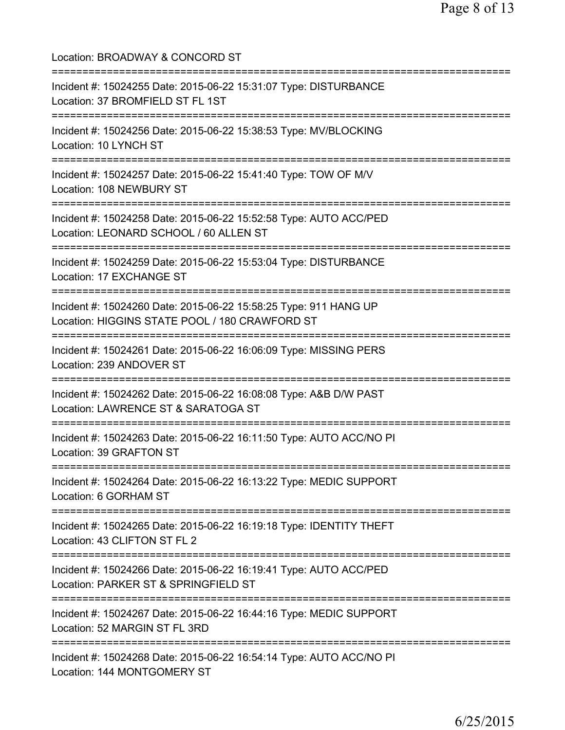| Location: BROADWAY & CONCORD ST                                                                                                                                                    |
|------------------------------------------------------------------------------------------------------------------------------------------------------------------------------------|
| Incident #: 15024255 Date: 2015-06-22 15:31:07 Type: DISTURBANCE<br>Location: 37 BROMFIELD ST FL 1ST                                                                               |
| Incident #: 15024256 Date: 2015-06-22 15:38:53 Type: MV/BLOCKING<br>Location: 10 LYNCH ST                                                                                          |
| Incident #: 15024257 Date: 2015-06-22 15:41:40 Type: TOW OF M/V<br>Location: 108 NEWBURY ST                                                                                        |
| Incident #: 15024258 Date: 2015-06-22 15:52:58 Type: AUTO ACC/PED<br>Location: LEONARD SCHOOL / 60 ALLEN ST                                                                        |
| ;==================================<br>Incident #: 15024259 Date: 2015-06-22 15:53:04 Type: DISTURBANCE<br>Location: 17 EXCHANGE ST                                                |
| :=================================<br>Incident #: 15024260 Date: 2015-06-22 15:58:25 Type: 911 HANG UP<br>Location: HIGGINS STATE POOL / 180 CRAWFORD ST<br>:===================== |
| Incident #: 15024261 Date: 2015-06-22 16:06:09 Type: MISSING PERS<br>Location: 239 ANDOVER ST                                                                                      |
| Incident #: 15024262 Date: 2015-06-22 16:08:08 Type: A&B D/W PAST<br>Location: LAWRENCE ST & SARATOGA ST                                                                           |
| Incident #: 15024263 Date: 2015-06-22 16:11:50 Type: AUTO ACC/NO PI<br>Location: 39 GRAFTON ST                                                                                     |
| Incident #: 15024264 Date: 2015-06-22 16:13:22 Type: MEDIC SUPPORT<br>Location: 6 GORHAM ST                                                                                        |
| Incident #: 15024265 Date: 2015-06-22 16:19:18 Type: IDENTITY THEFT<br>Location: 43 CLIFTON ST FL 2                                                                                |
| Incident #: 15024266 Date: 2015-06-22 16:19:41 Type: AUTO ACC/PED<br>Location: PARKER ST & SPRINGFIELD ST                                                                          |
| Incident #: 15024267 Date: 2015-06-22 16:44:16 Type: MEDIC SUPPORT<br>Location: 52 MARGIN ST FL 3RD                                                                                |
| Incident #: 15024268 Date: 2015-06-22 16:54:14 Type: AUTO ACC/NO PI<br>Location: 144 MONTGOMERY ST                                                                                 |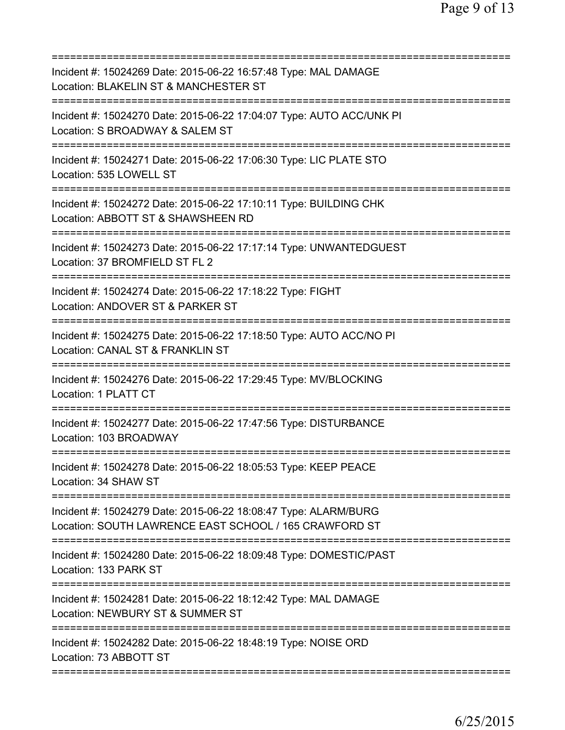| Incident #: 15024269 Date: 2015-06-22 16:57:48 Type: MAL DAMAGE<br>Location: BLAKELIN ST & MANCHESTER ST                                                  |
|-----------------------------------------------------------------------------------------------------------------------------------------------------------|
| Incident #: 15024270 Date: 2015-06-22 17:04:07 Type: AUTO ACC/UNK PI<br>Location: S BROADWAY & SALEM ST                                                   |
| Incident #: 15024271 Date: 2015-06-22 17:06:30 Type: LIC PLATE STO<br>Location: 535 LOWELL ST                                                             |
| Incident #: 15024272 Date: 2015-06-22 17:10:11 Type: BUILDING CHK<br>Location: ABBOTT ST & SHAWSHEEN RD<br>============================                   |
| Incident #: 15024273 Date: 2015-06-22 17:17:14 Type: UNWANTEDGUEST<br>Location: 37 BROMFIELD ST FL 2                                                      |
| Incident #: 15024274 Date: 2015-06-22 17:18:22 Type: FIGHT<br>Location: ANDOVER ST & PARKER ST                                                            |
| Incident #: 15024275 Date: 2015-06-22 17:18:50 Type: AUTO ACC/NO PI<br>Location: CANAL ST & FRANKLIN ST<br>===========================<br>=============== |
| Incident #: 15024276 Date: 2015-06-22 17:29:45 Type: MV/BLOCKING<br>Location: 1 PLATT CT                                                                  |
| Incident #: 15024277 Date: 2015-06-22 17:47:56 Type: DISTURBANCE<br>Location: 103 BROADWAY                                                                |
| Incident #: 15024278 Date: 2015-06-22 18:05:53 Type: KEEP PEACE<br>Location: 34 SHAW ST                                                                   |
| Incident #: 15024279 Date: 2015-06-22 18:08:47 Type: ALARM/BURG<br>Location: SOUTH LAWRENCE EAST SCHOOL / 165 CRAWFORD ST                                 |
| Incident #: 15024280 Date: 2015-06-22 18:09:48 Type: DOMESTIC/PAST<br>Location: 133 PARK ST                                                               |
| Incident #: 15024281 Date: 2015-06-22 18:12:42 Type: MAL DAMAGE<br>Location: NEWBURY ST & SUMMER ST                                                       |
| Incident #: 15024282 Date: 2015-06-22 18:48:19 Type: NOISE ORD<br>Location: 73 ABBOTT ST                                                                  |
|                                                                                                                                                           |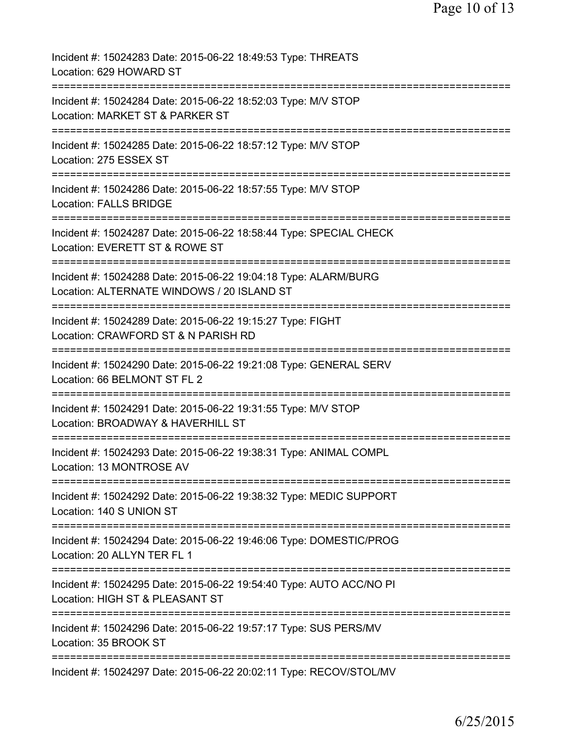| Incident #: 15024283 Date: 2015-06-22 18:49:53 Type: THREATS<br>Location: 629 HOWARD ST                                                  |
|------------------------------------------------------------------------------------------------------------------------------------------|
| Incident #: 15024284 Date: 2015-06-22 18:52:03 Type: M/V STOP<br>Location: MARKET ST & PARKER ST                                         |
| Incident #: 15024285 Date: 2015-06-22 18:57:12 Type: M/V STOP<br>Location: 275 ESSEX ST                                                  |
| Incident #: 15024286 Date: 2015-06-22 18:57:55 Type: M/V STOP<br><b>Location: FALLS BRIDGE</b>                                           |
| Incident #: 15024287 Date: 2015-06-22 18:58:44 Type: SPECIAL CHECK<br>Location: EVERETT ST & ROWE ST                                     |
| Incident #: 15024288 Date: 2015-06-22 19:04:18 Type: ALARM/BURG<br>Location: ALTERNATE WINDOWS / 20 ISLAND ST                            |
| ===================================<br>Incident #: 15024289 Date: 2015-06-22 19:15:27 Type: FIGHT<br>Location: CRAWFORD ST & N PARISH RD |
| ======================<br>Incident #: 15024290 Date: 2015-06-22 19:21:08 Type: GENERAL SERV<br>Location: 66 BELMONT ST FL 2              |
| ---------<br>Incident #: 15024291 Date: 2015-06-22 19:31:55 Type: M/V STOP<br>Location: BROADWAY & HAVERHILL ST                          |
| Incident #: 15024293 Date: 2015-06-22 19:38:31 Type: ANIMAL COMPL<br>Location: 13 MONTROSE AV                                            |
| Incident #: 15024292 Date: 2015-06-22 19:38:32 Type: MEDIC SUPPORT<br>Location: 140 S UNION ST                                           |
| Incident #: 15024294 Date: 2015-06-22 19:46:06 Type: DOMESTIC/PROG<br>Location: 20 ALLYN TER FL 1                                        |
| :====================<br>Incident #: 15024295 Date: 2015-06-22 19:54:40 Type: AUTO ACC/NO PI<br>Location: HIGH ST & PLEASANT ST          |
| Incident #: 15024296 Date: 2015-06-22 19:57:17 Type: SUS PERS/MV<br>Location: 35 BROOK ST                                                |
| Incident #: 15024297 Date: 2015-06-22 20:02:11 Type: RECOV/STOL/MV                                                                       |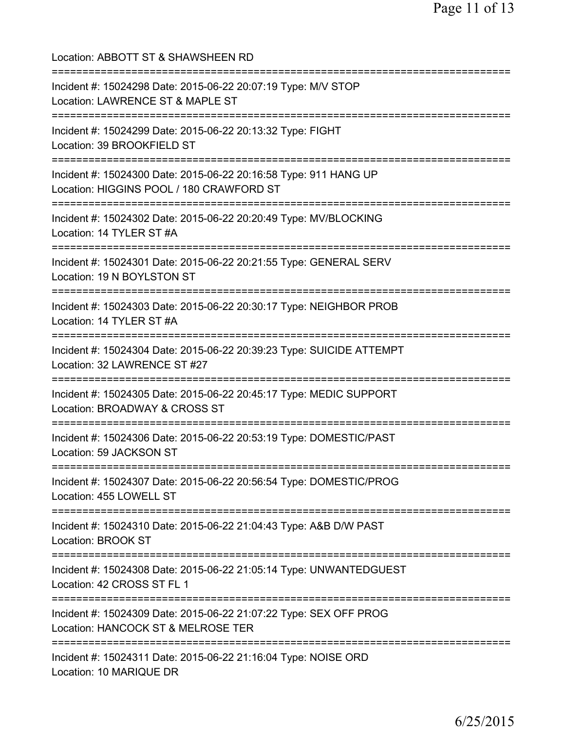Location: ABBOTT ST & SHAWSHEEN RD =========================================================================== Incident #: 15024298 Date: 2015-06-22 20:07:19 Type: M/V STOP Location: LAWRENCE ST & MAPLE ST =========================================================================== Incident #: 15024299 Date: 2015-06-22 20:13:32 Type: FIGHT Location: 39 BROOKFIELD ST =========================================================================== Incident #: 15024300 Date: 2015-06-22 20:16:58 Type: 911 HANG UP Location: HIGGINS POOL / 180 CRAWFORD ST =========================================================================== Incident #: 15024302 Date: 2015-06-22 20:20:49 Type: MV/BLOCKING Location: 14 TYLER ST #A =========================================================================== Incident #: 15024301 Date: 2015-06-22 20:21:55 Type: GENERAL SERV Location: 19 N BOYLSTON ST =========================================================================== Incident #: 15024303 Date: 2015-06-22 20:30:17 Type: NEIGHBOR PROB Location: 14 TYLER ST #A =========================================================================== Incident #: 15024304 Date: 2015-06-22 20:39:23 Type: SUICIDE ATTEMPT Location: 32 LAWRENCE ST #27 =========================================================================== Incident #: 15024305 Date: 2015-06-22 20:45:17 Type: MEDIC SUPPORT Location: BROADWAY & CROSS ST =========================================================================== Incident #: 15024306 Date: 2015-06-22 20:53:19 Type: DOMESTIC/PAST Location: 59 JACKSON ST =========================================================================== Incident #: 15024307 Date: 2015-06-22 20:56:54 Type: DOMESTIC/PROG Location: 455 LOWELL ST =========================================================================== Incident #: 15024310 Date: 2015-06-22 21:04:43 Type: A&B D/W PAST Location: BROOK ST =========================================================================== Incident #: 15024308 Date: 2015-06-22 21:05:14 Type: UNWANTEDGUEST Location: 42 CROSS ST FL 1 =========================================================================== Incident #: 15024309 Date: 2015-06-22 21:07:22 Type: SEX OFF PROG Location: HANCOCK ST & MELROSE TER =========================================================================== Incident #: 15024311 Date: 2015-06-22 21:16:04 Type: NOISE ORD Location: 10 MARIQUE DR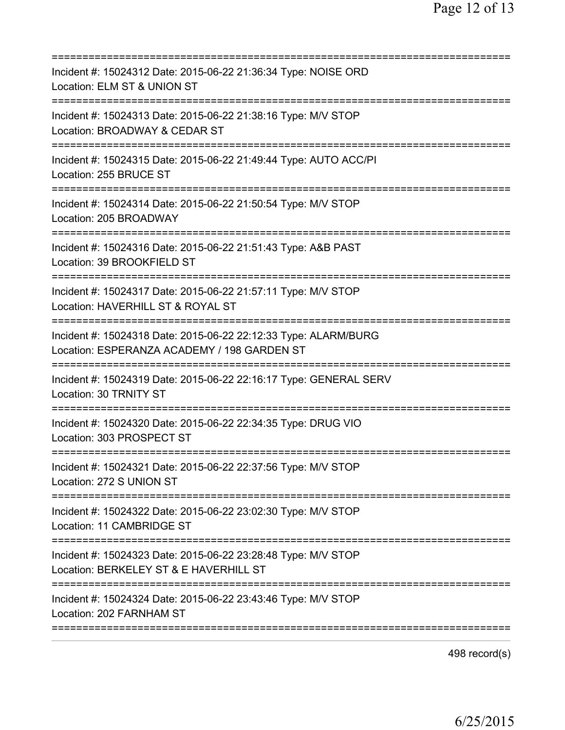| Incident #: 15024312 Date: 2015-06-22 21:36:34 Type: NOISE ORD<br>Location: ELM ST & UNION ST                                    |
|----------------------------------------------------------------------------------------------------------------------------------|
| Incident #: 15024313 Date: 2015-06-22 21:38:16 Type: M/V STOP<br>Location: BROADWAY & CEDAR ST                                   |
| Incident #: 15024315 Date: 2015-06-22 21:49:44 Type: AUTO ACC/PI<br>Location: 255 BRUCE ST                                       |
| Incident #: 15024314 Date: 2015-06-22 21:50:54 Type: M/V STOP<br>Location: 205 BROADWAY                                          |
| Incident #: 15024316 Date: 2015-06-22 21:51:43 Type: A&B PAST<br>Location: 39 BROOKFIELD ST                                      |
| Incident #: 15024317 Date: 2015-06-22 21:57:11 Type: M/V STOP<br>Location: HAVERHILL ST & ROYAL ST                               |
| Incident #: 15024318 Date: 2015-06-22 22:12:33 Type: ALARM/BURG<br>Location: ESPERANZA ACADEMY / 198 GARDEN ST                   |
| Incident #: 15024319 Date: 2015-06-22 22:16:17 Type: GENERAL SERV<br>Location: 30 TRNITY ST                                      |
| Incident #: 15024320 Date: 2015-06-22 22:34:35 Type: DRUG VIO<br>Location: 303 PROSPECT ST                                       |
| Incident #: 15024321 Date: 2015-06-22 22:37:56 Type: M/V STOP<br>Location: 272 S UNION ST<br>=================================== |
| Incident #: 15024322 Date: 2015-06-22 23:02:30 Type: M/V STOP<br>Location: 11 CAMBRIDGE ST                                       |
| Incident #: 15024323 Date: 2015-06-22 23:28:48 Type: M/V STOP<br>Location: BERKELEY ST & E HAVERHILL ST                          |
| Incident #: 15024324 Date: 2015-06-22 23:43:46 Type: M/V STOP<br>Location: 202 FARNHAM ST                                        |
|                                                                                                                                  |

498 record(s)